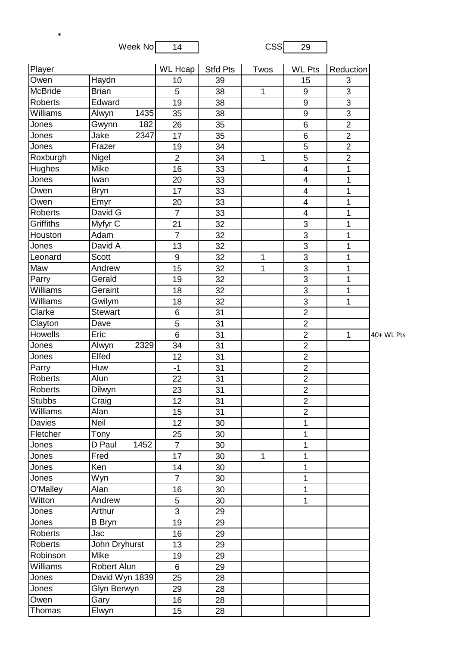Week No 14 CSS 29

\*

| Player         |                | <b>WL</b> Hcap | <b>Stfd Pts</b> | Twos         | <b>WL Pts</b>           | Reduction      |            |
|----------------|----------------|----------------|-----------------|--------------|-------------------------|----------------|------------|
| Owen           | Haydn          | 10             | 39              |              | 15                      | 3              |            |
| McBride        | <b>Brian</b>   | 5              | 38              | 1            | 9                       | 3              |            |
| <b>Roberts</b> | Edward         | 19             | 38              |              | 9                       | $\overline{3}$ |            |
| Williams       | 1435<br>Alwyn  | 35             | 38              |              | 9                       | $\overline{3}$ |            |
| Jones          | Gwynn<br>182   | 26             | 35              |              | $\overline{6}$          | $\overline{2}$ |            |
| Jones          | Jake<br>2347   | 17             | 35              |              | 6                       | $\overline{2}$ |            |
| Jones          | Frazer         | 19             | 34              |              | 5                       | $\overline{2}$ |            |
| Roxburgh       | Nigel          | $\overline{2}$ | 34              | $\mathbf{1}$ | $\overline{5}$          | $\overline{2}$ |            |
| <b>Hughes</b>  | Mike           | 16             | 33              |              | $\overline{\mathbf{4}}$ | 1              |            |
| Jones          | Iwan           | 20             | 33              |              | $\overline{\mathbf{4}}$ | $\mathbf{1}$   |            |
| Owen           | <b>Bryn</b>    | 17             | 33              |              | $\overline{4}$          | 1              |            |
| Owen           | Emyr           | 20             | 33              |              | $\overline{4}$          | 1              |            |
| <b>Roberts</b> | David G        | $\overline{7}$ | 33              |              | 4                       | 1              |            |
| Griffiths      | Myfyr C        | 21             | 32              |              | 3                       | 1              |            |
| Houston        | Adam           | $\overline{7}$ | 32              |              | $\overline{3}$          | 1              |            |
| Jones          | David A        | 13             | 32              |              | 3                       | 1              |            |
| Leonard        | <b>Scott</b>   | $9\,$          | 32              | $\mathbf{1}$ | $\overline{3}$          | 1              |            |
| Maw            | Andrew         | 15             | 32              | 1            | $\overline{3}$          | 1              |            |
| Parry          | Gerald         | 19             | 32              |              | $\overline{3}$          | $\mathbf{1}$   |            |
| Williams       | Geraint        | 18             | 32              |              | $\overline{3}$          | 1              |            |
| Williams       | Gwilym         | 18             | 32              |              | 3                       | 1              |            |
| Clarke         | <b>Stewart</b> | 6              | 31              |              | $\overline{2}$          |                |            |
| Clayton        | Dave           | 5              | 31              |              | $\overline{2}$          |                |            |
| <b>Howells</b> | Eric           | 6              | 31              |              | $\overline{2}$          | $\mathbf{1}$   | 40+ WL Pts |
| Jones          | 2329<br>Alwyn  | 34             | 31              |              | $\overline{2}$          |                |            |
| Jones          | Elfed          | 12             | 31              |              | $\overline{2}$          |                |            |
| Parry          | Huw            | $-1$           | 31              |              | $\overline{2}$          |                |            |
| <b>Roberts</b> | Alun           | 22             | 31              |              | $\overline{2}$          |                |            |
| Roberts        | Dilwyn         | 23             | 31              |              | $\overline{2}$          |                |            |
| <b>Stubbs</b>  | Craig          | 12             | 31              |              | $\overline{2}$          |                |            |
| Williams       | Alan           | 15             | 31              |              | $\overline{2}$          |                |            |
| <b>Davies</b>  | Neil           | 12             | 30              |              | 1                       |                |            |
| Fletcher       | Tony           | 25             | 30              |              | 1                       |                |            |
| Jones          | D Paul<br>1452 | $\overline{7}$ | 30              |              | 1                       |                |            |
| Jones          | Fred           | 17             | 30              | $\mathbf 1$  | 1                       |                |            |
| Jones          | Ken            | 14             | 30              |              | 1                       |                |            |
| Jones          | Wyn            | $\overline{7}$ | 30              |              | 1                       |                |            |
| O'Malley       | Alan           | 16             | 30              |              | 1                       |                |            |
| Witton         | Andrew         | 5              | 30              |              | 1                       |                |            |
| Jones          | Arthur         | $\overline{3}$ | 29              |              |                         |                |            |
| Jones          | <b>B</b> Bryn  | 19             | 29              |              |                         |                |            |
| Roberts        | Jac            | 16             | 29              |              |                         |                |            |
| <b>Roberts</b> | John Dryhurst  | 13             | 29              |              |                         |                |            |
| Robinson       | Mike           | 19             | 29              |              |                         |                |            |
| Williams       | Robert Alun    | 6              | 29              |              |                         |                |            |
| Jones          | David Wyn 1839 | 25             | 28              |              |                         |                |            |
| Jones          | Glyn Berwyn    | 29             | 28              |              |                         |                |            |
| Owen           | Gary           | 16             | 28              |              |                         |                |            |
| Thomas         | Elwyn          | 15             | 28              |              |                         |                |            |